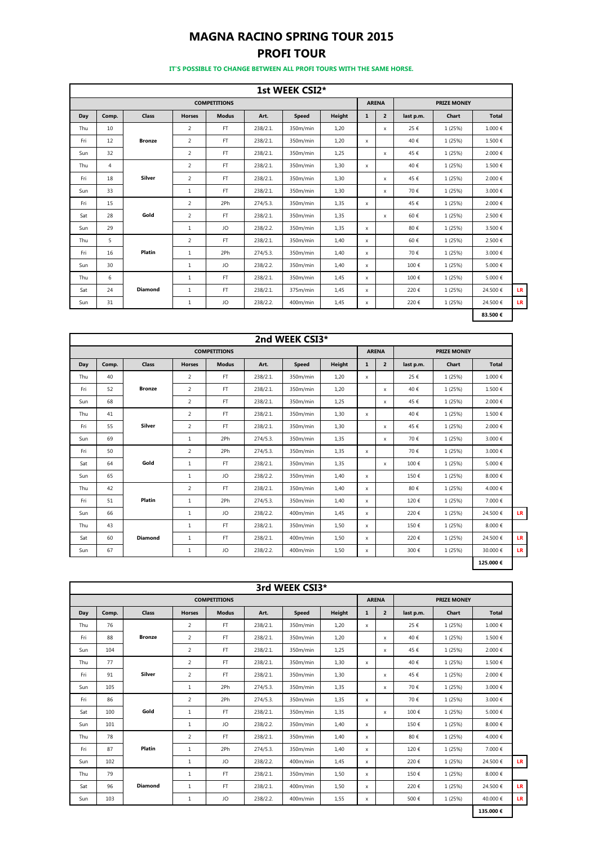## **MAGNA RACINO SPRING TOUR 2015 PROFI TOUR**

**IT'S POSSIBLE TO CHANGE BETWEEN ALL PROFI TOURS WITH THE SAME HORSE.**

|     |                |                |                |                     |          | 1st WEEK CSI2* |               |              |                |           |                    |              |    |
|-----|----------------|----------------|----------------|---------------------|----------|----------------|---------------|--------------|----------------|-----------|--------------------|--------------|----|
|     |                |                |                | <b>COMPETITIONS</b> |          |                |               |              | <b>ARENA</b>   |           | <b>PRIZE MONEY</b> |              |    |
| Day | Comp.          | Class          | <b>Horses</b>  | <b>Modus</b>        | Art.     | <b>Speed</b>   | <b>Height</b> | $\mathbf{1}$ | $\overline{2}$ | last p.m. | Chart              | <b>Total</b> |    |
| Thu | 10             |                | 2              | FT.                 | 238/2.1. | 350m/min       | 1,20          |              | x              | 25€       | 1 (25%)            | 1.000€       |    |
| Fri | 12             | <b>Bronze</b>  | 2              | FT.                 | 238/2.1. | 350m/min       | 1,20          | $\mathsf{x}$ |                | 40€       | 1 (25%)            | 1.500€       |    |
| Sun | 32             |                | $\overline{2}$ | FT                  | 238/2.1. | 350m/min       | 1,25          |              | x              | 45€       | 1 (25%)            | 2.000€       |    |
| Thu | $\overline{4}$ |                | $\overline{2}$ | FT                  | 238/2.1. | 350m/min       | 1,30          | $\mathsf{x}$ |                | 40€       | 1 (25%)            | 1.500€       |    |
| Fri | 18             | Silver         | $\overline{2}$ | FT.                 | 238/2.1. | 350m/min       | 1,30          |              | x              | 45€       | 1 (25%)            | 2.000€       |    |
| Sun | 33             |                | 1              | FT.                 | 238/2.1. | 350m/min       | 1,30          |              | x              | 70€       | 1 (25%)            | 3.000€       |    |
| Fri | 15             |                | 2              | 2Ph                 | 274/5.3. | 350m/min       | 1,35          | $\mathsf{x}$ |                | 45€       | 1 (25%)            | 2.000€       |    |
| Sat | 28             | Gold           | 2              | FT.                 | 238/2.1. | 350m/min       | 1,35          |              | x              | 60€       | 1 (25%)            | 2.500€       |    |
| Sun | 29             |                | $\mathbf{1}$   | JO                  | 238/2.2. | 350m/min       | 1,35          | $\mathsf{x}$ |                | 80€       | 1 (25%)            | 3.500€       |    |
| Thu | 5              |                | 2              | FT.                 | 238/2.1. | 350m/min       | 1,40          | $\mathsf{x}$ |                | 60€       | 1 (25%)            | 2.500€       |    |
| Fri | 16             | Platin         | $\mathbf{1}$   | 2Ph                 | 274/5.3. | 350m/min       | 1,40          | $\mathsf{x}$ |                | 70€       | 1 (25%)            | 3.000€       |    |
| Sun | 30             |                | 1              | JO                  | 238/2.2. | 350m/min       | 1,40          | $\mathsf{x}$ |                | 100€      | 1 (25%)            | 5.000€       |    |
| Thu | 6              |                | $\mathbf{1}$   | FT.                 | 238/2.1. | 350m/min       | 1,45          | x            |                | 100€      | 1 (25%)            | 5.000€       |    |
| Sat | 24             | <b>Diamond</b> | 1              | FT.                 | 238/2.1. | 375m/min       | 1,45          | x            |                | 220€      | 1 (25%)            | 24.500€      | LF |
| Sun | 31             |                | $\mathbf{1}$   | JO                  | 238/2.2. | 400m/min       | 1,45          | x            |                | 220€      | 1 (25%)            | 24.500€      | LR |
|     |                |                |                |                     |          |                |               |              |                |           |                    | 83.500€      |    |

|     |       |                |                |                     |          | 2nd WEEK CSI3* |               |              |                |           |                    |              |  |
|-----|-------|----------------|----------------|---------------------|----------|----------------|---------------|--------------|----------------|-----------|--------------------|--------------|--|
|     |       |                |                | <b>COMPETITIONS</b> |          |                |               |              | <b>ARENA</b>   |           | <b>PRIZE MONEY</b> |              |  |
| Day | Comp. | Class          | <b>Horses</b>  | <b>Modus</b>        | Art.     | <b>Speed</b>   | <b>Height</b> | $\mathbf{1}$ | $\overline{2}$ | last p.m. | Chart              | <b>Total</b> |  |
| Thu | 40    |                | $\overline{2}$ | <b>FT</b>           | 238/2.1. | 350m/min       | 1,20          | x            |                | 25€       | 1 (25%)            | 1.000€       |  |
| Fri | 52    | <b>Bronze</b>  | 2              | <b>FT</b>           | 238/2.1. | 350m/min       | 1.20          |              | $\mathsf{x}$   | 40€       | 1 (25%)            | 1.500€       |  |
| Sun | 68    |                | $\overline{2}$ | <b>FT</b>           | 238/2.1. | 350m/min       | 1,25          |              | $\mathsf{x}$   | 45€       | 1 (25%)            | 2.000€       |  |
| Thu | 41    |                | 2              | FT.                 | 238/2.1. | 350m/min       | 1.30          | $\mathsf{x}$ |                | 40€       | 1 (25%)            | 1.500€       |  |
| Fri | 55    | Silver         | 2              | <b>FT</b>           | 238/2.1. | 350m/min       | 1,30          |              | $\mathsf{x}$   | 45€       | 1 (25%)            | 2.000€       |  |
| Sun | 69    |                | $\mathbf{1}$   | 2Ph                 | 274/5.3. | 350m/min       | 1,35          |              | $\mathsf{x}$   | 70€       | 1 (25%)            | 3.000€       |  |
| Fri | 50    |                | 2              | 2Ph                 | 274/5.3. | 350m/min       | 1.35          | $\mathsf{x}$ |                | 70€       | 1 (25%)            | 3.000€       |  |
| Sat | 64    | Gold           | $\mathbf{1}$   | <b>FT</b>           | 238/2.1. | 350m/min       | 1,35          |              | $\mathsf{x}$   | 100€      | 1 (25%)            | 5.000€       |  |
| Sun | 65    |                | $\mathbf{1}$   | JO                  | 238/2.2. | 350m/min       | 1,40          | x            |                | 150€      | 1 (25%)            | 8.000€       |  |
| Thu | 42    |                | 2              | FT.                 | 238/2.1. | 350m/min       | 1,40          | $\mathsf{x}$ |                | 80€       | 1 (25%)            | 4.000€       |  |
| Fri | 51    | Platin         | $\mathbf{1}$   | 2Ph                 | 274/5.3. | 350m/min       | 1,40          | $\mathsf{x}$ |                | 120€      | 1 (25%)            | 7.000€       |  |
| Sun | 66    |                | $\mathbf{1}$   | JO                  | 238/2.2. | 400m/min       | 1,45          | x            |                | 220€      | 1 (25%)            | 24.500€      |  |
| Thu | 43    |                | $\mathbf{1}$   | <b>FT</b>           | 238/2.1. | 350m/min       | 1,50          | $\mathsf{x}$ |                | 150€      | 1 (25%)            | 8.000€       |  |
| Sat | 60    | <b>Diamond</b> | $\mathbf{1}$   | <b>FT</b>           | 238/2.1. | 400m/min       | 1,50          | $\mathsf{x}$ |                | 220€      | 1 (25%)            | 24.500€      |  |
| Sun | 67    |                | $\mathbf{1}$   | JO                  | 238/2.2. | 400m/min       | 1,50          | x            |                | 300€      | 1 (25%)            | 30.000€      |  |
|     |       |                |                |                     |          |                |               |              |                |           |                    | 125.000€     |  |

|     |       |                |                |                     |          | 3rd WEEK CSI3* |               |              |                           |           |                    |              |           |
|-----|-------|----------------|----------------|---------------------|----------|----------------|---------------|--------------|---------------------------|-----------|--------------------|--------------|-----------|
|     |       |                |                | <b>COMPETITIONS</b> |          |                |               |              | <b>ARENA</b>              |           | <b>PRIZE MONEY</b> |              |           |
| Day | Comp. | Class          | <b>Horses</b>  | <b>Modus</b>        | Art.     | Speed          | <b>Height</b> | $\mathbf{1}$ | $\overline{2}$            | last p.m. | Chart              | <b>Total</b> |           |
| Thu | 76    |                | 2              | FT.                 | 238/2.1. | 350m/min       | 1,20          | $\mathsf{x}$ |                           | 25€       | 1 (25%)            | 1.000€       |           |
| Fri | 88    | <b>Bronze</b>  | 2              | FT.                 | 238/2.1. | 350m/min       | 1,20          |              | $\boldsymbol{\mathsf{x}}$ | 40€       | 1 (25%)            | 1.500€       |           |
| Sun | 104   |                | $\overline{2}$ | FT.                 | 238/2.1. | 350m/min       | 1,25          |              | X                         | 45€       | 1 (25%)            | 2.000€       |           |
| Thu | 77    |                | 2              | FT.                 | 238/2.1. | 350m/min       | 1,30          | $\mathsf{x}$ |                           | 40€       | 1 (25%)            | 1.500€       |           |
| Fri | 91    | <b>Silver</b>  | 2              | FT.                 | 238/2.1. | 350m/min       | 1,30          |              | $\boldsymbol{\mathsf{x}}$ | 45€       | 1 (25%)            | 2.000€       |           |
| Sun | 105   |                | 1              | 2Ph                 | 274/5.3. | 350m/min       | 1,35          |              | $\boldsymbol{\mathsf{x}}$ | 70€       | 1 (25%)            | 3.000€       |           |
| Fri | 86    |                | 2              | 2Ph                 | 274/5.3. | 350m/min       | 1,35          | $\mathsf{x}$ |                           | 70€       | 1 (25%)            | 3.000€       |           |
| Sat | 100   | Gold           | $\mathbf{1}$   | FT.                 | 238/2.1. | 350m/min       | 1,35          |              | X                         | 100€      | 1 (25%)            | 5.000€       |           |
| Sun | 101   |                | 1              | JO                  | 238/2.2. | 350m/min       | 1,40          | $\mathsf{x}$ |                           | 150€      | 1 (25%)            | 8.000€       |           |
| Thu | 78    |                | $\overline{2}$ | FT.                 | 238/2.1. | 350m/min       | 1,40          | $\mathsf{x}$ |                           | 80€       | 1 (25%)            | 4.000€       |           |
| Fri | 87    | Platin         | $\mathbf{1}$   | 2Ph                 | 274/5.3. | 350m/min       | 1,40          | $\mathsf{x}$ |                           | 120€      | 1 (25%)            | 7.000€       |           |
| Sun | 102   |                | 1              | JO                  | 238/2.2. | 400m/min       | 1,45          | $\mathsf{x}$ |                           | 220€      | 1 (25%)            | 24.500€      | LR.       |
| Thu | 79    |                | $\mathbf{1}$   | FT.                 | 238/2.1. | 350m/min       | 1,50          | $\mathsf{x}$ |                           | 150€      | 1 (25%)            | 8.000€       |           |
| Sat | 96    | <b>Diamond</b> | $\mathbf{1}$   | FT.                 | 238/2.1. | 400m/min       | 1,50          | $\mathsf{x}$ |                           | 220€      | 1 (25%)            | 24.500€      | LR.       |
| Sun | 103   |                | 1              | JO                  | 238/2.2. | 400m/min       | 1,55          | X            |                           | 500€      | 1 (25%)            | 40.000€      | <b>LR</b> |

**135.000 €**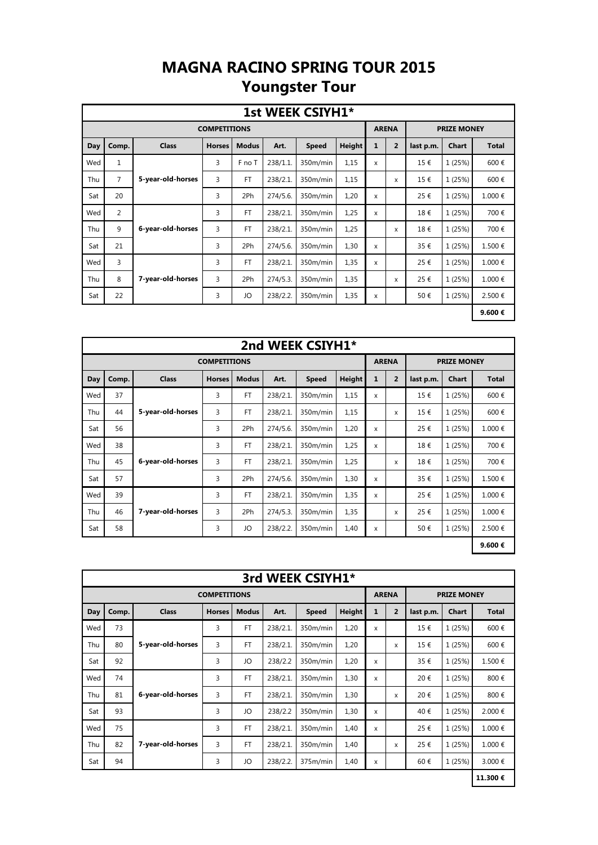## **MAGNA RACINO SPRING TOUR 2015 Youngster Tour**

|     |                |                   |                     |              |             | 1st WEEK CSIYH1* |        |              |                |           |                    |              |
|-----|----------------|-------------------|---------------------|--------------|-------------|------------------|--------|--------------|----------------|-----------|--------------------|--------------|
|     |                |                   | <b>COMPETITIONS</b> |              |             |                  |        |              | <b>ARENA</b>   |           | <b>PRIZE MONEY</b> |              |
| Day | Comp.          | <b>Class</b>      | <b>Horses</b>       | <b>Modus</b> | Art.        | <b>Speed</b>     | Height | $\mathbf{1}$ | $\overline{2}$ | last p.m. | <b>Chart</b>       | <b>Total</b> |
| Wed | $\mathbf{1}$   |                   | 3                   | F no T       | 238/1.1.    | 350m/min         | 1,15   | X            |                | 15€       | 1 (25%)            | 600€         |
| Thu | $\overline{7}$ | 5-year-old-horses | 3                   | <b>FT</b>    | 238/2.1.    | 350m/min         | 1,15   |              | X              | 15€       | 1 (25%)            | 600€         |
| Sat | 20             |                   | 3                   | 2Ph          | 274/5.6.    | 350m/min         | 1,20   | X            |                | 25€       | 1 (25%)            | 1.000€       |
| Wed | 2              |                   | 3                   | <b>FT</b>    | 238/2.1.    | 350m/min         | 1,25   | X            |                | 18€       | 1 (25%)            | 700€         |
| Thu | 9              | 6-year-old-horses | 3                   | <b>FT</b>    | 238/2.1.    | 350m/min         | 1,25   |              | X              | 18€       | 1 (25%)            | 700€         |
| Sat | 21             |                   | 3                   | 2Ph          | 274/5.6.    | 350m/min         | 1,30   | X            |                | 35€       | 1 (25%)            | 1.500€       |
| Wed | 3              |                   | 3                   | <b>FT</b>    | 238/2.1     | 350m/min         | 1,35   | X            |                | 25€       | 1 (25%)            | 1.000€       |
| Thu | 8              | 7-year-old-horses | 3                   | 2Ph          | $274/5.3$ . | 350m/min         | 1,35   |              | X              | 25€       | 1 (25%)            | 1.000€       |
| Sat | 22             |                   | 3                   | JO           | 238/2.2.    | 350m/min         | 1,35   | X            |                | 50€       | 1 (25%)            | 2.500€       |
|     |                |                   |                     |              |             |                  |        |              |                |           |                    | 9.600€       |

|                                                                                                         |       |                   |                     |              |             | 2nd WEEK CSIYH1* |               |              |                |           |                    |              |
|---------------------------------------------------------------------------------------------------------|-------|-------------------|---------------------|--------------|-------------|------------------|---------------|--------------|----------------|-----------|--------------------|--------------|
|                                                                                                         |       |                   | <b>COMPETITIONS</b> |              |             |                  |               |              | <b>ARENA</b>   |           | <b>PRIZE MONEY</b> |              |
| Day                                                                                                     | Comp. | <b>Class</b>      | <b>Horses</b>       | <b>Modus</b> | Art.        | <b>Speed</b>     | <b>Height</b> | $\mathbf{1}$ | $\overline{2}$ | last p.m. | <b>Chart</b>       | <b>Total</b> |
| Wed                                                                                                     | 37    |                   | 3                   | <b>FT</b>    | 238/2.1.    | 350m/min         | 1,15          | X            |                | 15€       | 1 (25%)            | 600€         |
| 3<br>44<br>5-year-old-horses<br><b>FT</b><br>1,15<br>1 (25%)<br>Thu<br>238/2.1.<br>350m/min<br>15€<br>X |       |                   |                     |              |             |                  |               |              |                |           |                    |              |
| 56<br>3<br>1,20<br>1 (25%)<br>1.000€<br>2Ph<br>274/5.6.<br>350m/min<br>25€<br>Sat<br>X                  |       |                   |                     |              |             |                  |               |              |                |           |                    |              |
| Wed                                                                                                     | 38    |                   | 3                   | <b>FT</b>    | 238/2.1.    | 350m/min         | 1,25          | X            |                | 18€       | 1 (25%)            | 700€         |
| Thu                                                                                                     | 45    | 6-year-old-horses | 3                   | <b>FT</b>    | 238/2.1.    | 350m/min         | 1,25          |              | X              | 18€       | 1 (25%)            | 700€         |
| Sat                                                                                                     | 57    |                   | 3                   | 2Ph          | 274/5.6.    | 350m/min         | 1,30          | X            |                | 35€       | 1 (25%)            | 1.500€       |
| Wed                                                                                                     | 39    |                   | 3                   | <b>FT</b>    | 238/2.1.    | 350m/min         | 1,35          | X            |                | 25€       | 1 (25%)            | 1.000€       |
| Thu                                                                                                     | 46    | 7-year-old-horses | 3                   | 2Ph          | $274/5.3$ . | 350m/min         | 1,35          |              | X              | 25€       | 1 (25%)            | 1.000€       |
| Sat                                                                                                     | 58    |                   | 3                   | JO           | 238/2.2.    | 350m/min         | 1,40          | X            |                | 50€       | 1 (25%)            | 2.500€       |
|                                                                                                         |       |                   |                     |              |             |                  |               |              |                |           |                    | 9.600€       |

|     |       |                   |                     |              |          | 3rd WEEK CSIYH1* |        |              |                |           |                    |              |
|-----|-------|-------------------|---------------------|--------------|----------|------------------|--------|--------------|----------------|-----------|--------------------|--------------|
|     |       |                   | <b>COMPETITIONS</b> |              |          |                  |        |              | <b>ARENA</b>   |           | <b>PRIZE MONEY</b> |              |
| Day | Comp. | <b>Class</b>      | <b>Horses</b>       | <b>Modus</b> | Art.     | <b>Speed</b>     | Height | $\mathbf{1}$ | $\overline{2}$ | last p.m. | <b>Chart</b>       | <b>Total</b> |
| Wed | 73    |                   | 3                   | <b>FT</b>    | 238/2.1. | 350m/min         | 1,20   | X            |                | 15€       | 1 (25%)            | 600€         |
| Thu | 80    | 5-year-old-horses | 3                   | <b>FT</b>    | 238/2.1. | 350m/min         | 1,20   |              | X              | 15€       | 1 (25%)            | 600€         |
| Sat | 92    |                   | 3                   | JO           | 238/2.2  | 350m/min         | 1,20   | X            |                | 35€       | 1 (25%)            | 1.500€       |
| Wed | 74    |                   | 3                   | <b>FT</b>    | 238/2.1. | 350m/min         | 1,30   | X            |                | 20€       | 1 (25%)            | 800€         |
| Thu | 81    | 6-year-old-horses | 3                   | <b>FT</b>    | 238/2.1. | 350m/min         | 1,30   |              | X              | 20€       | 1 (25%)            | 800€         |
| Sat | 93    |                   | 3                   | JO           | 238/2.2  | 350m/min         | 1,30   | X            |                | 40€       | 1 (25%)            | 2.000 €      |
| Wed | 75    |                   | 3                   | <b>FT</b>    | 238/2.1. | 350m/min         | 1,40   | X            |                | 25€       | 1 (25%)            | 1.000€       |
| Thu | 82    | 7-year-old-horses | 3                   | <b>FT</b>    | 238/2.1. | 350m/min         | 1,40   |              | X              | 25€       | 1 (25%)            | 1.000€       |
| Sat | 94    |                   | 3                   | JO           | 238/2.2. | 375m/min         | 1,40   | X            |                | 60€       | 1 (25%)            | 3.000 €      |
|     |       |                   |                     |              |          |                  |        |              |                |           |                    | 11.300€      |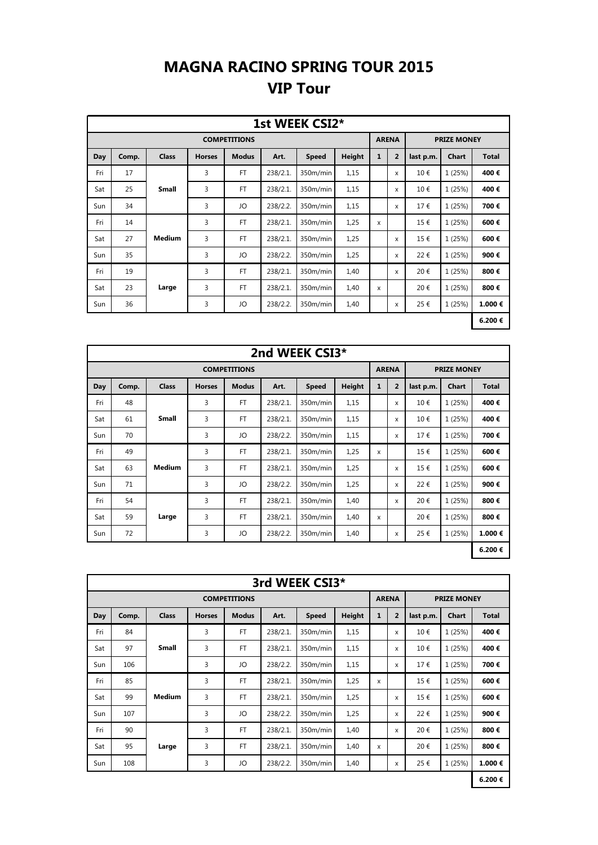## **MAGNA RACINO SPRING TOUR 2015 VIP Tour**

|     |       |              |               |                     |          | 1st WEEK CSI2* |               |              |                |           |                    |              |
|-----|-------|--------------|---------------|---------------------|----------|----------------|---------------|--------------|----------------|-----------|--------------------|--------------|
|     |       |              |               | <b>COMPETITIONS</b> |          |                |               |              | <b>ARENA</b>   |           | <b>PRIZE MONEY</b> |              |
| Day | Comp. | <b>Class</b> | <b>Horses</b> | <b>Modus</b>        | Art.     | <b>Speed</b>   | <b>Height</b> | $\mathbf{1}$ | $\overline{2}$ | last p.m. | <b>Chart</b>       | <b>Total</b> |
| Fri | 17    |              | 3             | FT                  | 238/2.1. | 350m/min       | 1,15          |              | x              | 10€       | 1 (25%)            | 400€         |
| Sat | 25    | <b>Small</b> | 3             | <b>FT</b>           | 238/2.1. | 350m/min       | 1,15          |              | X              | 10€       | 1 (25%)            | 400€         |
| Sun | 34    |              | 3             | JO                  | 238/2.2. | 350m/min       | 1,15          |              | X              | 17€       | 1 (25%)            | 700€         |
| Fri | 14    |              | 3             | FT                  | 238/2.1. | 350m/min       | 1,25          | X            |                | 15€       | 1 (25%)            | 600€         |
| Sat | 27    | Medium       | 3             | <b>FT</b>           | 238/2.1. | 350m/min       | 1,25          |              | x              | 15€       | 1 (25%)            | 600€         |
| Sun | 35    |              | 3             | JO                  | 238/2.2. | 350m/min       | 1,25          |              | X              | 22€       | 1 (25%)            | 900€         |
| Fri | 19    |              | 3             | <b>FT</b>           | 238/2.1. | 350m/min       | 1,40          |              | X              | 20€       | 1 (25%)            | 800€         |
| Sat | 23    | Large        | 3             | <b>FT</b>           | 238/2.1. | 350m/min       | 1,40          | x            |                | 20€       | 1 (25%)            | 800€         |
| Sun | 36    |              | 3             | JO                  | 238/2.2. | 350m/min       | 1,40          |              | x              | 25€       | 1 (25%)            | 1.000€       |
|     |       |              |               |                     |          |                |               |              |                |           |                    | 6.200€       |

|     |       |               |               |                     |          | 2nd WEEK CSI3* |               |              |                           |           |                    |              |
|-----|-------|---------------|---------------|---------------------|----------|----------------|---------------|--------------|---------------------------|-----------|--------------------|--------------|
|     |       |               |               | <b>COMPETITIONS</b> |          |                |               | <b>ARENA</b> |                           |           | <b>PRIZE MONEY</b> |              |
| Day | Comp. | <b>Class</b>  | <b>Horses</b> | <b>Modus</b>        | Art.     | <b>Speed</b>   | <b>Height</b> | 1            | $\overline{2}$            | last p.m. | <b>Chart</b>       | <b>Total</b> |
| Fri | 48    |               | 3             | <b>FT</b>           | 238/2.1. | 350m/min       | 1,15          |              | X                         | 10€       | 1 (25%)            | 400€         |
| Sat | 61    | <b>Small</b>  | 3             | <b>FT</b>           | 238/2.1. | 350m/min       | 1,15          |              | X                         | 10€       | 1 (25%)            | 400€         |
| Sun | 70    |               | 3             | JO                  | 238/2.2. | 350m/min       | 1,15          |              | X                         | 17€       | 1 (25%)            | 700€         |
| Fri | 49    |               | 3             | <b>FT</b>           | 238/2.1. | 350m/min       | 1,25          | X            |                           | 15€       | 1 (25%)            | 600€         |
| Sat | 63    | <b>Medium</b> | 3             | <b>FT</b>           | 238/2.1. | 350m/min       | 1,25          |              | $\boldsymbol{\mathsf{x}}$ | 15€       | 1 (25%)            | 600€         |
| Sun | 71    |               | 3             | JO                  | 238/2.2. | 350m/min       | 1,25          |              | X                         | 22€       | 1 (25%)            | 900€         |
| Fri | 54    |               | 3             | <b>FT</b>           | 238/2.1. | 350m/min       | 1,40          |              | $\boldsymbol{\mathsf{x}}$ | 20€       | 1 (25%)            | 800€         |
| Sat | 59    | Large         | 3             | <b>FT</b>           | 238/2.1. | 350m/min       | 1,40          | X            |                           | 20€       | 1 (25%)            | 800€         |
| Sun | 72    |               | 3             | JO                  | 238/2.2. | 350m/min       | 1,40          |              | X                         | 25€       | 1 (25%)            | 1.000€       |
|     |       |               |               |                     |          |                |               |              |                           |           |                    | 6.200€       |

|     |       |               |               |                     |          | 3rd WEEK CSI3* |        |              |                |           |                    |              |
|-----|-------|---------------|---------------|---------------------|----------|----------------|--------|--------------|----------------|-----------|--------------------|--------------|
|     |       |               |               | <b>COMPETITIONS</b> |          |                |        |              | <b>ARENA</b>   |           | <b>PRIZE MONEY</b> |              |
| Day | Comp. | <b>Class</b>  | <b>Horses</b> | <b>Modus</b>        | Art.     | <b>Speed</b>   | Height | $\mathbf{1}$ | $\overline{2}$ | last p.m. | Chart              | <b>Total</b> |
| Fri | 84    |               | 3             | <b>FT</b>           | 238/2.1. | 350m/min       | 1,15   |              | X              | 10€       | 1 (25%)            | 400€         |
| Sat | 97    | <b>Small</b>  | 3             | <b>FT</b>           | 238/2.1. | 350m/min       | 1,15   |              | X              | 10€       | 1 (25%)            | 400€         |
| Sun | 106   |               | 3             | JO                  | 238/2.2. | 350m/min       | 1,15   |              | X              | 17€       | 1 (25%)            | 700€         |
| Fri | 85    |               | 3             | <b>FT</b>           | 238/2.1. | 350m/min       | 1,25   | X            |                | 15€       | 1 (25%)            | 600€         |
| Sat | 99    | <b>Medium</b> | 3             | <b>FT</b>           | 238/2.1. | 350m/min       | 1,25   |              | X              | 15€       | 1 (25%)            | 600€         |
| Sun | 107   |               | 3             | JO                  | 238/2.2. | 350m/min       | 1,25   |              | x              | 22€       | 1 (25%)            | 900€         |
| Fri | 90    |               | 3             | <b>FT</b>           | 238/2.1. | 350m/min       | 1,40   |              | X              | 20€       | 1 (25%)            | 800€         |
| Sat | 95    | Large         | 3             | <b>FT</b>           | 238/2.1. | 350m/min       | 1,40   | X            |                | 20€       | 1 (25%)            | 800€         |
| Sun | 108   |               | 3             | JO                  | 238/2.2. | 350m/min       | 1,40   |              | x              | 25€       | 1 (25%)            | 1.000€       |
|     |       |               |               |                     |          |                |        |              |                |           |                    | 6.200€       |